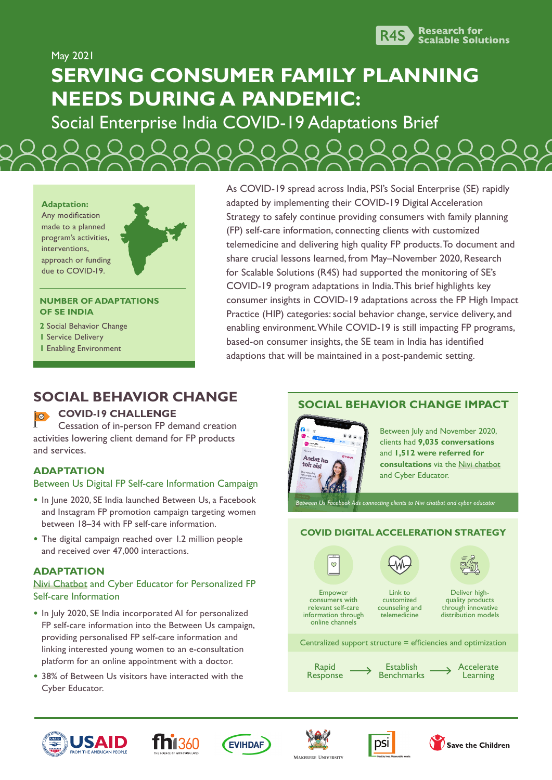

May 2021

# **SERVING CONSUMER FAMILY PLANNING NEEDS DURING A PANDEMIC:**

Social Enterprise India COVID-19 Adaptations Brief

**Adaptation:** Any modification made to a planned program's activities, interventions, approach or funding due to COVID-19.

#### **NUMBER OF ADAPTATIONS OF SE INDIA**

- **2** Social Behavior Change
- **1** Service Delivery
- **1** Enabling Environment

As COVID-19 spread across India, PSI's Social Enterprise (SE) rapidly adapted by implementing their COVID-19 Digital Acceleration Strategy to safely continue providing consumers with family planning (FP) self-care information, connecting clients with customized telemedicine and delivering high quality FP products. To document and share crucial lessons learned, from May–November 2020, Research for Scalable Solutions (R4S) had supported the monitoring of SE's COVID-19 program adaptations in India. This brief highlights key consumer insights in COVID-19 adaptations across the FP High Impact Practice (HIP) categories: social behavior change, service delivery, and enabling environment. While COVID-19 is still impacting FP programs, based-on consumer insights, the SE team in India has identified adaptions that will be maintained in a post-pandemic setting.

## **SOCIAL BEHAVIOR CHANGE**

### **COVID-19 CHALLENGE**

Cessation of in-person FP demand creation activities lowering client demand for FP products and services.

### **ADAPTATION**

### Between Us Digital FP Self-care Information Campaign

- **•** In June 2020, SE India launched Between Us, a Facebook and Instagram FP promotion campaign targeting women between 18–34 with FP self-care information.
- **•** The digital campaign reached over 1.2 million people and received over 47,000 interactions.

### **ADAPTATION**

#### [Nivi Chatbot](https://www.nivi.io/) and Cyber Educator for Personalized FP Self-care Information

- **•** In July 2020, SE India incorporated AI for personalized FP self-care information into the Between Us campaign, providing personalised FP self-care information and linking interested young women to an e-consultation platform for an online appointment with a doctor.
- **•** 38% of Between Us visitors have interacted with the Cyber Educator.

### **SOCIAL BEHAVIOR CHANGE IMPACT**



Between July and November 2020, clients had **9,035 conversations** and **1,512 were referred for consultations** via the [Nivi chatbot](https://www.nivi.io/) and Cyber Educator.

*Between Us Facebook Ads connecting clients to [Nivi chatbot](https://www.nivi.io/) and cyber educator* 

### **COVID DIGITAL ACCELERATION STRATEGY**

 $\circ$ 



Empower consumers with relevant self-care information through

Link to customized counseling and telemedicine



Deliver highquality products through innovative distribution models

Centralized support structure = efficiencies and optimization

Rapid **Response** 

online channels

Establish **Benchmarks**